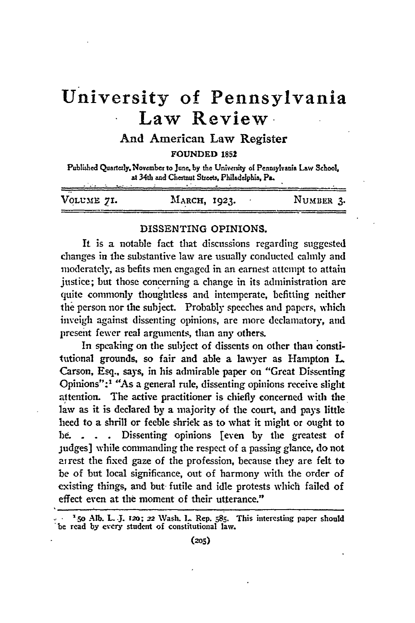# **University of Pennsylvania Law Review**

## And American Law Register

**FOUNDED 1852**

Published Quartely.November to **June, by** the University of Pennsylvania Law School at 34th and Chestnut Streets, Philadelphia, Pa.

| VOLUME 71. | MARCH, 1923. | NUMBER 3. |
|------------|--------------|-----------|

#### **DISSENTING** OPINIONS.

It is a notable fact that discussions regarding suggested changes in the substantive law are usually conducted calmly and moderately, as befits men engaged in an earnest attempt to attain justice; but those concerning a change in its administration are quite commonly thoughtless and intemperate, befitting neither the person nor the subject. Probably speeches and papers, which inveigh against dissenting opinions, are more declamatory, and present fewer real arguments, than any others.

In speaking on the subject of dissents on other than constitutional grounds, so fair and able a lawyer as Hampton **L.** Carson, Esq., says, in his admirable paper on "Great Dissenting Opinions":' "As a general **rule,** dissenting opinions receive slight attention. The active practitioner is chiefly concerned with the law as it is declared **by** a majority of the court, and pays little heed to a shrill or feeble shriek as to what it might or ought to **be. . .** Dissenting opinions [even **by** the greatest of judges] while commanding the respect of a passing glance, do not ai rest the fixed gaze of the profession, because they are felt to be of but local significance, out of harmony with the order of existing things, and but. futile and idle protests which failed of effect even at the moment of their utterance."

**<sup>&</sup>quot;.5o** Alb. L. **.J. z2o; -,2** Wash. **I.** Rep. **585.** This interesting paper should 'be read **by** evcry student of constitutional law.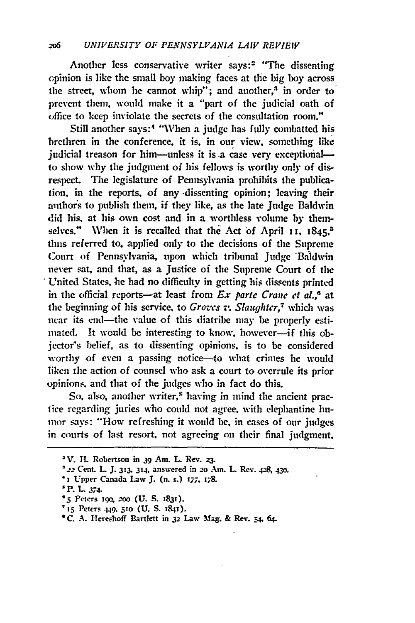Another less conservative writer says:2 "The dissenting opinion is like the small boy making faces at tle big **boy** across the street, whom he cannot whip"; and another,<sup>3</sup> in order to prevent them, would make it a "part of the judicial oath of office to keep inviolate the secrets of the consultation room."

Still another says:<sup>4</sup> "When a judge has fully combatted his brethren in the conference, it is. in our view, something like judicial treason for him--unless it is a case very exceptionalto show why the judgment of his fellows is worthy only of disrespect. The legislature of Pennsylvania prohibits the publication, in the reports, of any -dissenting opinion; leaving their authors to publish them, if they like, as the late Judge Baldwin did his, at his own cost and in a worthless volume **by** themselves." When it is recalled that the Act of April 11,  $1845$ <sup>5</sup> thus referred to. applied only to the decisions of the Supreme Court of Pennsylvania, upon which tribunal Judge Baldwin never sat, and that, as a justice of the Supreme Court of the United States, lie had no difficulty in getting his dissents printed in the official reports-at least from *Ex parte Crane et al.*<sup>6</sup> at the beginning of his service, to *Groves v. Slaughter,7* which was -near its end-the value of this diatribe may **be** properly estimated. It would be interesting to know, however-if this objector's belief, as to dissenting opinions, is to be considered worthy of even a passing notice-to what crimes he would liken the action of counsel who ask a court to overrule its prior opinions., and that of the judges who in fact do this.

So, also, another writer,<sup>8</sup> having in mind the ancient praclice regarding juries who could not agree, with elephantine humor says: "'How refreshing it would be, in cases of our judges in courts of last resort, not agreeing on their final judgment.

- \* i Upper Canada Law *J.* (n. s.) **177,** I78.
- **P.** L 374-

**SV. I.** Robertson in **39** Am. **L.** Rev. **23.**

**<sup>\*</sup> .,,** Cent. L J. **313.** 314, answered in 2o Am. L Rev. 428, **430.**

<sup>&</sup>lt;sup>\*</sup> 5 Peters **190**, 200 (U. S. 1831).

<sup>&#</sup>x27; **15** Peters 449. **51o (U.** S. **1841).**

**<sup>\*</sup>C.** A. Heresboff Bartlett in **32** Law Mag. & Rev. **54, 64.**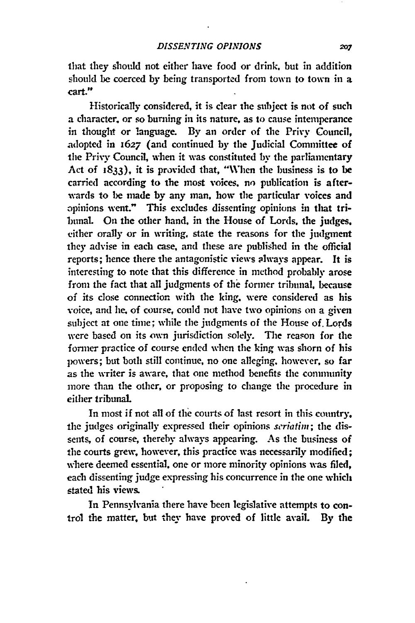that they should not either have food or drink, but in addition should be coerced **by** being transported from town to town in a **cart."**

Historically considered, it is clear the subject is not of such a character, or so burning in its nature, as to cause intemperance in thought or language. By an order of the Privy Council, adopted in **1627** (and continued by the Judicial Committee of the Privy Council, when it was constituted by the parliamentary Act of **;833),** it is provided that, "When the business is to be carried according to the most voices, no publication is afterwards to be made by any man, how the particular voices and opinions went." This excludes dissenting opinions in that tribunal. On the other hand, in the House of Lords, the judges. either orally or in writing, state the reasons for the judgment they advise in each case, **and** these are published in the official reports; hence there the antagonistic views always appear. It is interesting to note that this difference in method probably arose from the fact that all judgments of **the** forner tribunal, because of its close connection with the king, were considered as his voice, and he, of course, could not have two opinions on a given subject at one time; while the judgments of the House of. Lords were based on its own jurisdiction solely. The reason for the forner practice of course ended when the king was shorn of his powers; but both still continue, no one alleging, however, so far as the writer is aware, that one method benefits the community more than the other, or proposing to change the procedure in either tribunal

In most if not all of the courts of last resort in this country. the judges originally expressed their opinions *seriatim;* the dissents, of course, thereby always appearing. As the business of the courts grew, however, this practice was necessarily modified; where deemed essential, one or more minority opinions was filed, each dissenting judge expressing his concurrence in the one which stated his views.

In Pennsylvania there have been legislative attempts to control the matter, but they have proved of little avail. **By** the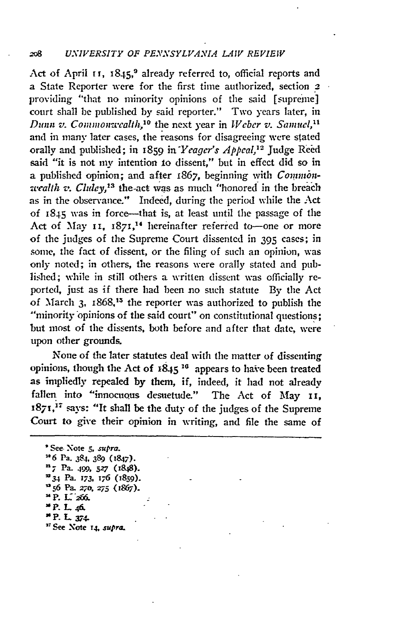### **208** *UNIVERSITY OF PENNSYLVANIA LAW REVIEW*

Act of April **11**, 1845,<sup>9</sup> already referred to, official reports and a State Reporter were for the first time authorized, section 2 providing "that no minority opinions of the said [supreme] court shall be published by said reporter." Two years later, in *Dunn v. Commonwcalth*,<sup>10</sup> the next year in *Weber v. Samuel*,<sup>11</sup> and in many later cases, the reasons for disagreeing were stated orally and published; in 1859 in *Yeager's Appeal*,<sup>12</sup> Judge Reed said "it is not my intention to dissent," but in effect did so in a published opinion; and after 1867, beginning with *Commonwealth v. Cluley*,<sup>13</sup> the-act was as much "honored in the breach as in the observance." Indeed, during the period while the Act of 1845 was in force--that is, at least until the passage of the Act of May 11, 1871,<sup>14</sup> hereinafter referred to-one or more of the judges of the Supreme Court dissented in 395 cases; in some, the fact of dissent, or the filing of such an opinion, was only noted; in others, the reasons were orally stated and published; while in still others a written dissent was officially reported, just as if there had been no such statute By the Act of March 3, 1868,<sup>15</sup> the reporter was authorized to publish the "minority opinions of the said court" on constitutional questions; but most of the dissents, both before and after that date, were upon other grounds.

None of the later statutes deal with the matter of dissenting opinions, though the Act of 1845<sup>16</sup> appears to have been treated as impliedly repealed **by** them, if, indeed, it had not already fallen into "innocuous desuetude." The Act of May **11,** 1871,<sup>17</sup> says: "It shall be the duty of the judges of the Supreme Court to give their opinion in writing, and file the same of

**\*** See- **Note** *5,* supra. *'\*6* **Pa. 384,** *389* **(1847). n7 Pa.** 499, *527* **(848). =34 Pa.** *173,* **176 (1859). "56 Pa. 270.** *275 (1867).* **<sup>1</sup>** <sup>**\* P. L. 266.**</sup> **P. L 46. P. L 3 74. '.See Note 14,** supra.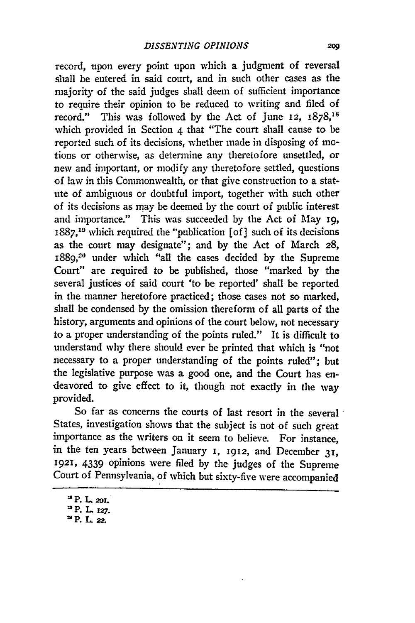record, upon every point upon which a judgment of reversal shall be entered in said court, and in such other cases as the majority of the said judges shall deem of sufficient importance to require their opinion to be reduced to writing and filed of record." This was followed by the Act of June **12**,  $1878$ ,<sup>18</sup> which provided in Section 4 that "The court shall cause to be reported such of its decisions, whether made in disposing of motions or otherwise, as determine any theretofore unsettled, or new and important, or modify any theretofore settled, questions of law in this Commonwealth, or that give construction to a statute of ambiguous or doubtful import, together with such other of its decisions as may be deemed by the court of public interest and importance." This was succeeded **by** the Act of May 19, 1887,"9 which required the "publication [of] such of its decisions as the court may designate"; and by the Act of March 28, 1889,<sup>20</sup> under which "all the cases decided by the Supreme Court" are required to be published, those "marked **by** the several justices of said court 'to be reported' shall be reported in the manner heretofore practiced; those cases not so marked, shall be condensed **by** the omission thereform of all parts of the history, arguments and opinions of the court below, not necessary to a proper understanding of the points ruled." It is difficult to understand why there should ever be printed that which is "not necessary to a proper understanding of the points ruled"; but the legislative purpose was a good one, and the Court has endeavored to give effect to it, though not exactly in the way provided.

So far as concerns the courts of last resort in the several States, investigation shows that the subject is not of such great importance as the writers on it seem to believe. For instance, in the ten years between January **I,** 1912, and December **31, 1921,** 4339 opinions were filed **by** the judges of the Supreme Court of Pennsylvania, of which but sixty-five were accompanied

"P. L 2Z.

**IsP.** L. **20r.**

IP. L **z27.**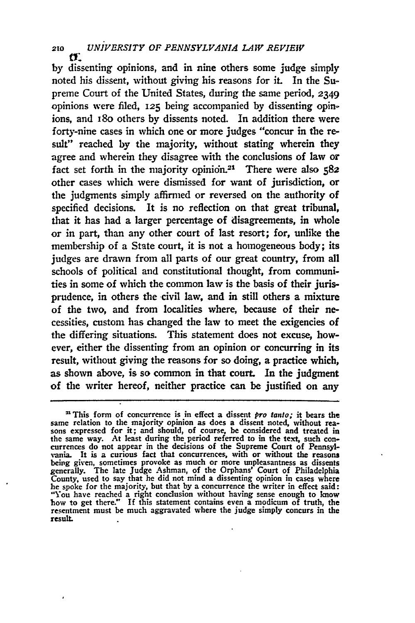**<sup>210</sup>***UNIVERSITY OF PENNSYLVANIA LAW REVIEW*

by dissenting opinions, and in nine others some judge simply noted his dissent, without giving his reasons for **it.** In the Supreme Court of the United States, during the same period, 2349 opinions were filed, **125** being accompanied by dissenting opinions, and I8o others by dissents noted. In addition there were forty-nine cases in which one or more judges "concur in the result" reached by the majority, without stating wherein they agree and wherein they disagree with the conclusions of law or fact set forth in the majority opinidn.21 There were also *582* other cases which were dismissed for want of jurisdiction, or the judgments simply affirmed or reversed on the authority of specified decisions. It is no reflection on that great tribunal, that it has had a larger percentage of disagreements, in whole or in part, than any other court of last resort; for, unlike the membership of a State court, it is not a homogeneous body; its judges are drawn from all parts of our great country, from all schools of political and constitutional thought, from communities in some of which the common law is the basis of their jurisprudence, in others the civil law, and in still others a mixture of the two, and from localities where, because of their necessities, custom has changed the law to meet the exigencies of the differing situations. This statement does not excuse, however, either the dissenting from an opinion or concurring in its result, without giving the reasons for so doing, a practice which, as shown above, is so common in that court. In the judgment of the writer hereof, neither practice can be justified on any

<sup>&</sup>lt;sup>21</sup> This form of concurrence is in effect a dissent *pro tanto*; it bears the same relation to the majority opinion as does a dissent noted, without reasons expressed for it; and should, of course, be considered and treat the same way. At least during the period referred to in the text, such con- currences do not appear in the decisions of the Supreme Court of Pennsylvania. It is a curious fact that concurrences, with or without the reasons being given, sometimes provoke as much or more unpleasantness as dissents generally. The late Judge Ashman, of the Orphans' Court of Philadelphia County, used to say that he did not mind a dissenting opinion in cases where he spoke for the majority, but that **by** a concurrence the writer in effect said: "You have reached a right conclusion without having sense enough to know bow to get there.' **If** this statement contains even a modicum of truth, the resentment must be much aggravated where the judge simply concurs in the **result.**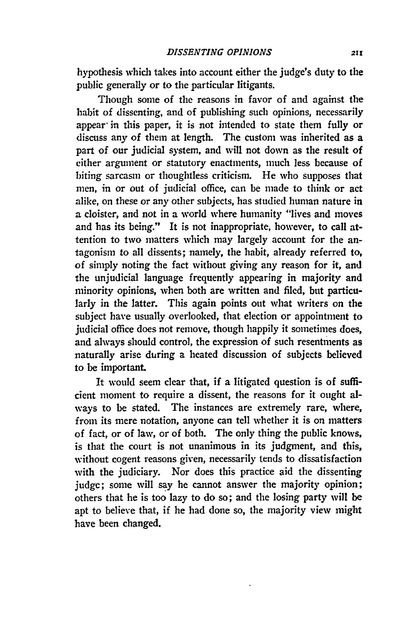hypothesis which takes into account either the judge's duty to the public generally or to the particular litigants.

Though some of the reasons in favor of and against the habit of dissenting, and of publishing such opinions, necessarily appear in this paper, it is not intended to state them fully or discuss any of them at length. The custom was inherited as a part of our judicial system, and will not down as the result of either argument or statutory enactments, much less because of biting sarcasm or thoughtless criticism. He who supposes that men, in or out of judicial office, can be made to think or act alike, on these or any other subjects, has studied human nature in a cloister, and not in a world where humanity "lives and moves and has its being." It is not inappropriate, however, to call attention to two matters which may largely account for the antagonism to all dissents; namely, the habit, already referred **to,** of simply noting the fact without giving any reason for it, and the unjudicial language frequently appearing in majority and minority opinions, when both are written and filed, but particularly in the latter. This again points out what writers on the subject have usually overlooked, that election or appointment to judicial office does not remove, though happily it sometimes does, and always should control, the expression of such resentments as naturally arise during a heated discussion of subjects believed to be important.

It would seem clear that, if a litigated question is of sufficient moment to require a dissent, the reasons for it ought always to be stated. The instances are extremely rare, where, from its mere notation, anyone can tell whether it is on matters of fact, or of law, or of both. The only thing the public knows, is that the court is not unanimous in its judgment, and this, without cogent reasons given, necessarily tends to dissatisfaction with the judiciary. Nor does this practice aid the dissenting judgc; some will **say** he cannot answer the majority opinion; others that he is too lazy to do so; and the losing party will be apt to believe that, if he had done so, the majority view might have been changed.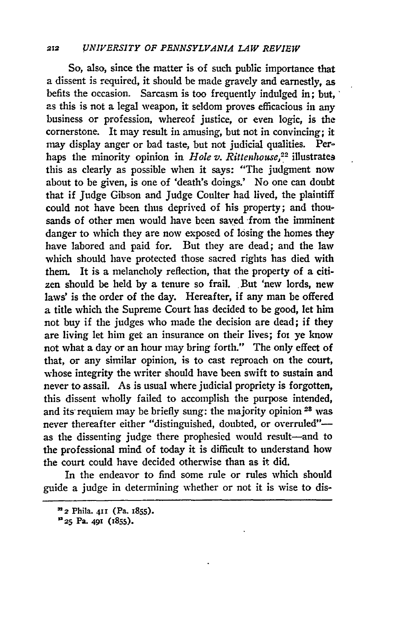#### **212** *UNIVERSITY OF PENNSYLVANIA LAW REVIEW*

So, also, since the matter is of such public importance that a dissent is required, it should be made gravely and earnestly, as befits the occasion. Sarcasm is too frequently indulged in: but, as this is not a legal weapon, it seldom proves efficacious in any business or profession, whereof justice, or even logic, is the cornerstone. It may result in amusing, but not in convincing; it may display anger or bad taste, but not judicial qualities. Perhaps the minority opinion in *Hole v. Rittenhouse*,<sup>22</sup> illustrates this as clearly as possible when it says: "The judgment now about to be given, is one of 'death's doings.' No one can doubt that if Judge Gibson and Judge Coulter had lived, the plaintiff could not have been thus deprived of his property; and thousands of other men would have been saved from the imminent danger to which they are now exposed of losing the homes they have labored and paid for. But they are dead; and the law which should have protected those sacred rights has died with them. It is a melancholy reflection, that the property of a citizen should be held **by** a tenure so frail. But 'new lords, new laws' is the order of the day. Hereafter, if any man be offered a title which the Supreme Court has decided to be good, let him not buy if the judges who made the decision are dead; if they are living let him get an insurance on their lives; fot ye know not what a day or an hour may bring forth." The only effect of that, or any similar opinion, is to cast reproach on the court, whose integrity the writer should have been swift to sustain and never to assail. As is usual where judicial propriety is forgotten, this dissent wholly failed to accomplish the purpose intended, and its requiem may be briefly sung: the majority opinion 23 was never thereafter either "distinguished, doubted, or overruled"as the dissenting judge there prophesied would result-and to the professional mind of today it is difficult to understand how the court could have decided otherwise than as it did.

In the endeavor to find some rule or rules which should guide a judge in determining whether or not it is wise to dis-

*<sup>322</sup>*Phila. **4ii (Pa. I855).**

**U25 Pa. 491 0855).**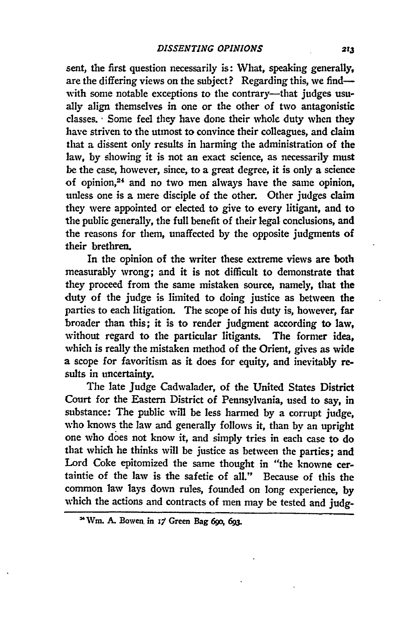sent, the first question necessarily is: What, speaking generally, are the differing views on the subject? Regarding this, we findwith some notable exceptions to the contrary-that judges usually align themselves in one or the other of two antagonistic classes. **-** Some feel they have done their whole duty when they have striven to the utmost to convince their colleagues, and claim that a dissent only results in harming the administration of the law, by showing it is not an exact science, as necessarily must be the case, however, since, to a great degree, it is only a science of opinion,24 and no two men always have the same opinion, unless one is a mere disciple of the other. Other judges claim they were appointed or elected to give to every litigant, and to the public generally, the full benefit of their legal conclusions, and the reasons for them, unaffected by the opposite judgments of their brethren.

In the opinion of the writer these extreme views are both measurably wrong; and it is not difficult to demonstrate that they proceed from the same mistaken source, namely, that the duty of the judge is limited to doing justice as between the parties to each litigation. The scope of his duty is, however, far broader than this; it is to render judgment according to law, without regard to the particular litigants. The former idea, which is really the mistaken method of the Orient, gives as wide a scope for favoritism as it does for equity, and inevitably results in uncertainty.

The late Judge Cadwalader, of the United States District Court for the Eastern District of Pennsylvania, used to say, in substance: The public will be less harmed **by** a corrupt judge, who knows the law and generally follows it, than **by** an upright one who does not know it, and simply tries in each case to do that which he thinks will be justice as between the parties; and Lord Coke epitomized the same thought in "the knowne certaintie of the law is the safetie of all." Because of this the common law lays down rules, founded on long experience, **by** which the actions and contracts of men may be tested and **judg-**

**<sup>&</sup>quot;Vi. A. Bowen, in** *x* **Green Bag 69o, 69.**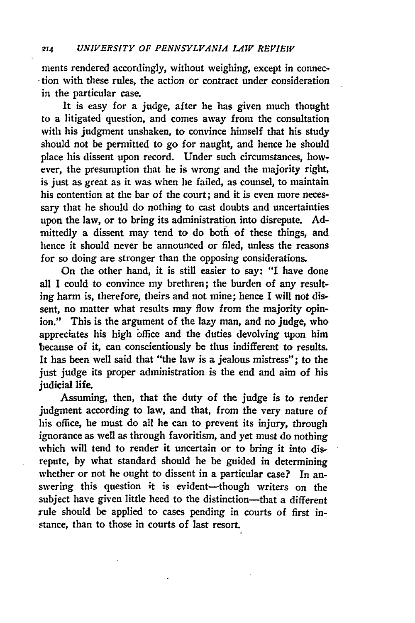ments rendered accordingly, without weighing, except in connection with these rules, the action or contract under consideration in the particular case.

It is easy for a judge, after he has given much thought to a litigated question, and comes away from the consultation with his judgment unshaken, to convince himself that his study should not be permitted to go for naught, and hence he should place his dissent upon record. Under such circumstances, however, the presumption that he is wrong and the majority right, is just as great as it was when he failed, as counsel, to maintain his contention at the bar of the court; and it is even more necessary that he should do nothing to cast doubts and uncertainties upon the law, or to bring its administration into disrepute. Admittedly a dissent may tend to do both of these things, and hence it should never be announced or filed, unless the reasons for so doing are stronger than the opposing considerations.

On the other hand, it is still easier to say: "I have done all I could to convince my brethren; the burden of any resulting harm is, therefore, theirs and not mine; hence I will not dissent, no matter what results may flow from the majority opinion." This is the argument of the lazy man, and no judge, who appreciates his high office and the duties devolving upon him because of it, can conscientiously be thus indifferent to results. It has been well said that "the law is a jealous mistress"; to the just judge its proper administration is the end and aim of his judicial life.

Assuming, then, that the duty of the judge is to render judgment according to law, and that, from the very nature of his office, he must do all he can to prevent its injury, through ignorance as well as through favoritism, and yet must do nothing which will tend to render it uncertain or to bring it into disrepute, by what standard should he be guided in determining whether or not he ought to dissent in a particular case? In answering this question it is evident-though writers on the subject have given little heed to the distinction-that a different rule should be applied to cases pending in courts of first instance, than to those in courts of last resort.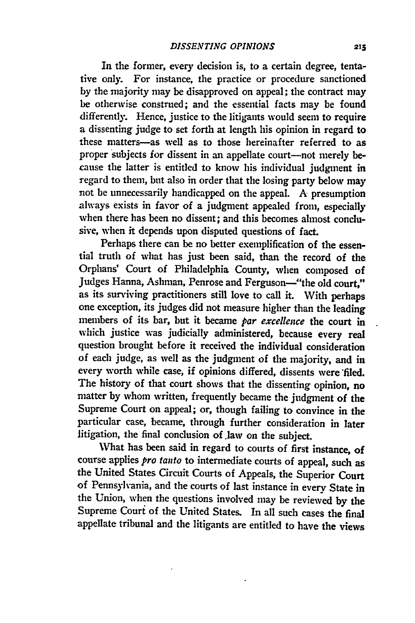In the former, every decision is, to a certain degree, tentative only. For instance, the practice or procedure sanctioned **by** the majority may be disapproved on appeal; the contract may be otherwise construed; and the essential facts may be found differently. Hence, justice to the litigants would seem to require a dissenting judge to set forth at length his opinion in regard to these matters-as well as to those hereinafter referred to as proper subjects for dissent in an appellate court-not merely because the latter is entitled to know his individual judgment in regard to them, but also in order that the losing party below may not be unnecessarily handicapped on the appeal. **A** presumption always exists in favor of a judgment appealed from, especially when there has been no dissent; and this becomes almost conclusive, when it depends upon disputed questions of fact.

Perhaps there can be no better exemplification of the essential truth of what has just been said, than the record of the Orphans' Court of Philadelphia County, when composed of Judges Hanna, Ashman, Penrose and Ferguson--"the old court," as its surviving practitioners still love to call it. With perhaps one exception, its judges did not measure higher than the leading members of its bar, but it became *par excellence* the court in which justice was judicially administered, because every real question brought before it received the individual consideration of each judge, as well as the judgment of the majority, and in every worth while case, if opinions differed, dissents were filed. The history of that court shows that the dissenting opinion, no matter **by** whom written, frequently became the judgment of the Supreme Court on appeal; or, though failing to convince in the particular case, became, through further consideration in later litigation, the final conclusion of .law on the subject.

What has been said in regard to courts of first instance, of course applies *pro tanto* to intermediate courts of appeal, such as the United States Circuit Courts of Appeals, the Superior Court of Pennsylvania, and the courts of last instance in every State in the Union, when the questions involved may be reviewed **by** the Supreme Couri of the United States. In all such cases the final appellate tribunal and the litigants are entitled to have the views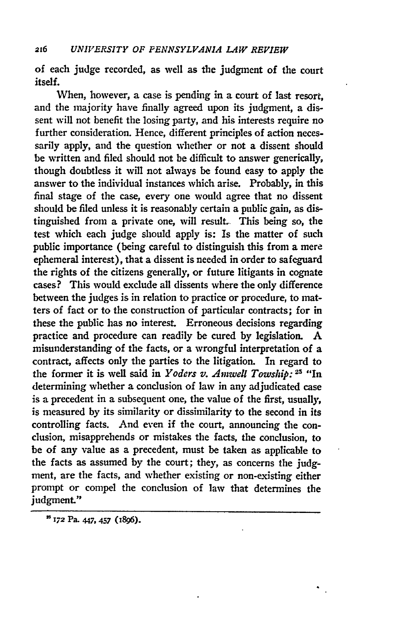of each judge recorded, as well as the judgment of the court itself.

When, however, a case is pending in a court of last resort, and the majority have finally agreed upon its judgment, a dissent will not benefit the losing party, and his interests require no further consideration. Hence, different principles of action necessarily apply, and the question whether or not a dissent should be written and filed should not **be** difficult to answer generically, though doubtless it will not always be found easy to apply the answer to the individual instances which arise. Probably, in this final stage of the case, every one would agree that no dissent should be filed unless it is reasonably certain a public gain, as distinguished from a private one, will result. This being so, the test which each judge should apply is: Is the matter of such public importance (being careful to distinguish this from a mere ephemeral interest), that a dissent is needed in order to safeguard the rights of the citizens generally, or future litigants in cognate cases? This would exclude all dissents where the only difference between the judges is in relation to practice or procedure, to matters of fact or to the construction of particular contracts; for in these the public has no interest. Erroneous decisions regarding practice and procedure can readily be cured **by** legislation. **A** misunderstanding of the facts, or a wrongful interpretation of a contract, affects only the parties to the litigation. In regard to the former it is well said in *Yoders v. Amwell Towship*: <sup>25</sup> "In determining whether a conclusion of law in any adjudicated case is a precedent in a subsequent one, the value of the first, usually, is measured **by** its similarity or dissimilarity to the second in its controlling facts. And even if the court, announcing the conclusion, misapprehends or mistakes the facts, the conclusion, to be of any value as a precedent, must be taken as applicable to the facts as assumed **by** the court; they, as concerns the **judg**ment, are the facts, and whether existing or non-existing either prompt or compel the conclusion of law that determines the judgment."

**S17 Pa.** 447, **457 (1896).**